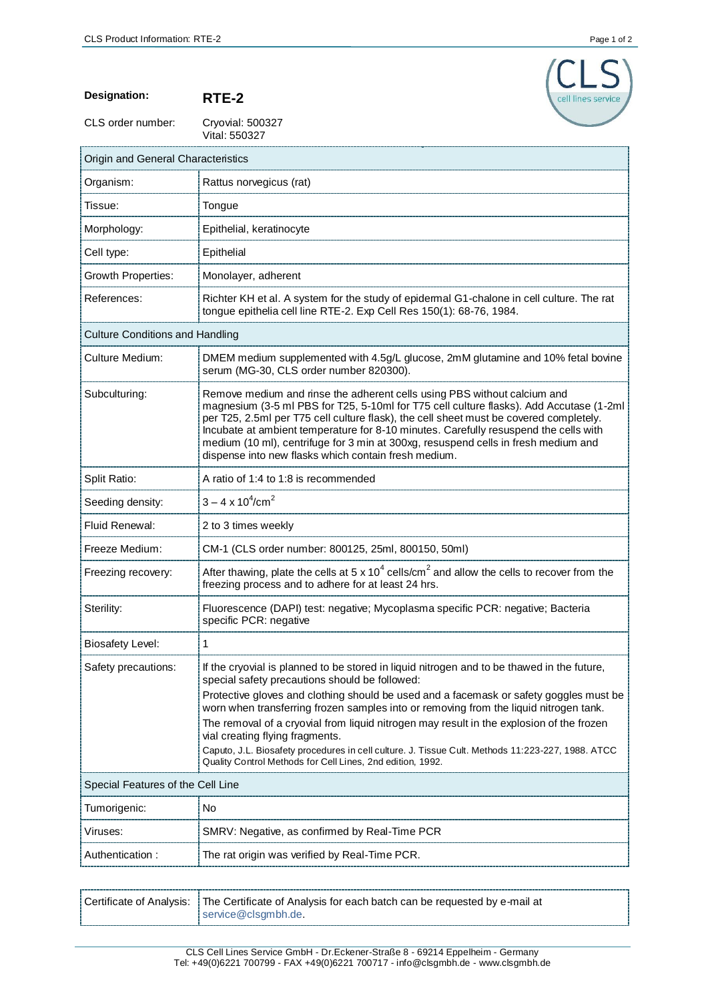

**Designation: RTE-2**

CLS order number:

r

Cryovial: 500327<br>Vital: 550327

| Origin and General Characteristics     |                                                                                                                                                                                                                                                                                                                                                                                                                                                                                                     |  |
|----------------------------------------|-----------------------------------------------------------------------------------------------------------------------------------------------------------------------------------------------------------------------------------------------------------------------------------------------------------------------------------------------------------------------------------------------------------------------------------------------------------------------------------------------------|--|
| Organism:                              | Rattus norvegicus (rat)                                                                                                                                                                                                                                                                                                                                                                                                                                                                             |  |
| Tissue:                                | Tongue                                                                                                                                                                                                                                                                                                                                                                                                                                                                                              |  |
| Morphology:                            | Epithelial, keratinocyte                                                                                                                                                                                                                                                                                                                                                                                                                                                                            |  |
| Cell type:                             | Epithelial                                                                                                                                                                                                                                                                                                                                                                                                                                                                                          |  |
| Growth Properties:                     | Monolayer, adherent                                                                                                                                                                                                                                                                                                                                                                                                                                                                                 |  |
| References:                            | Richter KH et al. A system for the study of epidermal G1-chalone in cell culture. The rat<br>tongue epithelia cell line RTE-2. Exp Cell Res 150(1): 68-76, 1984.                                                                                                                                                                                                                                                                                                                                    |  |
| <b>Culture Conditions and Handling</b> |                                                                                                                                                                                                                                                                                                                                                                                                                                                                                                     |  |
| <b>Culture Medium:</b>                 | DMEM medium supplemented with 4.5g/L glucose, 2mM glutamine and 10% fetal bovine<br>serum (MG-30, CLS order number 820300).                                                                                                                                                                                                                                                                                                                                                                         |  |
| Subculturing:                          | Remove medium and rinse the adherent cells using PBS without calcium and<br>magnesium (3-5 ml PBS for T25, 5-10ml for T75 cell culture flasks). Add Accutase (1-2ml<br>per T25, 2.5ml per T75 cell culture flask), the cell sheet must be covered completely.<br>Incubate at ambient temperature for 8-10 minutes. Carefully resuspend the cells with<br>medium (10 ml), centrifuge for 3 min at 300xg, resuspend cells in fresh medium and<br>dispense into new flasks which contain fresh medium. |  |
| Split Ratio:                           | A ratio of 1:4 to 1:8 is recommended                                                                                                                                                                                                                                                                                                                                                                                                                                                                |  |
| Seeding density:                       | $3 - 4 \times 10^4/\text{cm}^2$                                                                                                                                                                                                                                                                                                                                                                                                                                                                     |  |
| Fluid Renewal:                         | 2 to 3 times weekly                                                                                                                                                                                                                                                                                                                                                                                                                                                                                 |  |
| Freeze Medium:                         | CM-1 (CLS order number: 800125, 25ml, 800150, 50ml)                                                                                                                                                                                                                                                                                                                                                                                                                                                 |  |
| Freezing recovery:                     | After thawing, plate the cells at 5 x 10 <sup>4</sup> cells/cm <sup>2</sup> and allow the cells to recover from the<br>freezing process and to adhere for at least 24 hrs.                                                                                                                                                                                                                                                                                                                          |  |
| Sterility:                             | Fluorescence (DAPI) test: negative; Mycoplasma specific PCR: negative; Bacteria<br>specific PCR: negative                                                                                                                                                                                                                                                                                                                                                                                           |  |
| <b>Biosafety Level:</b>                | $\mathbf{1}$                                                                                                                                                                                                                                                                                                                                                                                                                                                                                        |  |
| Safety precautions:                    | If the cryovial is planned to be stored in liquid nitrogen and to be thawed in the future,<br>special safety precautions should be followed:                                                                                                                                                                                                                                                                                                                                                        |  |
|                                        | Protective gloves and clothing should be used and a facemask or safety goggles must be<br>worn when transferring frozen samples into or removing from the liquid nitrogen tank.<br>The removal of a cryovial from liquid nitrogen may result in the explosion of the frozen<br>vial creating flying fragments.<br>Caputo, J.L. Biosafety procedures in cell culture. J. Tissue Cult. Methods 11:223-227, 1988. ATCC<br>Quality Control Methods for Cell Lines, 2nd edition, 1992.                   |  |
| Special Features of the Cell Line      |                                                                                                                                                                                                                                                                                                                                                                                                                                                                                                     |  |
| Tumorigenic:                           | No                                                                                                                                                                                                                                                                                                                                                                                                                                                                                                  |  |
| Viruses:                               | SMRV: Negative, as confirmed by Real-Time PCR                                                                                                                                                                                                                                                                                                                                                                                                                                                       |  |
| Authentication:                        | The rat origin was verified by Real-Time PCR.                                                                                                                                                                                                                                                                                                                                                                                                                                                       |  |

| Certificate of Analysis:   The Certificate of Analysis for each batch can be requested by e-mail at |
|-----------------------------------------------------------------------------------------------------|
| service@clsgmbh.de.                                                                                 |